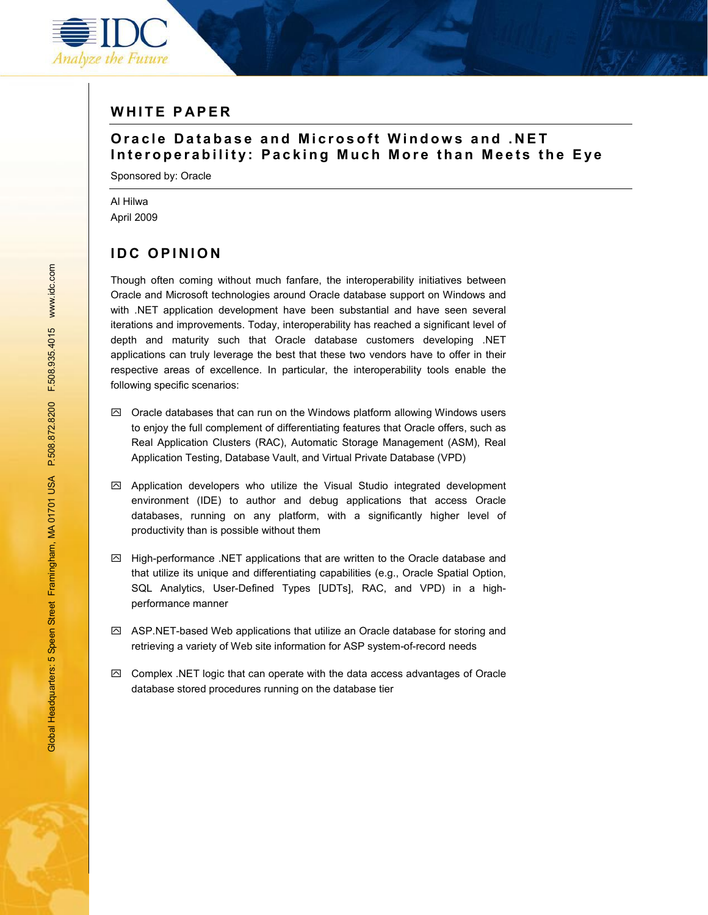

### **W H I T E P AP E R**

## **O r a c l e D a t a b a s e a n d M i c r osoft Windows and .NET Interoperability: Packing Much More than Meets the Eye**

Sponsored by: Oracle

Al Hilwa April 2009

# **IDC OPINION**

Though often coming without much fanfare, the interoperability initiatives between Oracle and Microsoft technologies around Oracle database support on Windows and with .NET application development have been substantial and have seen several iterations and improvements. Today, interoperability has reached a significant level of depth and maturity such that Oracle database customers developing .NET applications can truly leverage the best that these two vendors have to offer in their respective areas of excellence. In particular, the interoperability tools enable the following specific scenarios:

- $\boxtimes$  Oracle databases that can run on the Windows platform allowing Windows users to enjoy the full complement of differentiating features that Oracle offers, such as Real Application Clusters (RAC), Automatic Storage Management (ASM), Real Application Testing, Database Vault, and Virtual Private Database (VPD)
- $\boxtimes$  Application developers who utilize the Visual Studio integrated development environment (IDE) to author and debug applications that access Oracle databases, running on any platform, with a significantly higher level of productivity than is possible without them
- $\boxdot$  High-performance .NET applications that are written to the Oracle database and that utilize its unique and differentiating capabilities (e.g., Oracle Spatial Option, SQL Analytics, User-Defined Types [UDTs], RAC, and VPD) in a highperformance manner
- $\boxtimes$  ASP.NET-based Web applications that utilize an Oracle database for storing and retrieving a variety of Web site information for ASP system-of-record needs
- $\boxtimes$  Complex .NET logic that can operate with the data access advantages of Oracle database stored procedures running on the database tier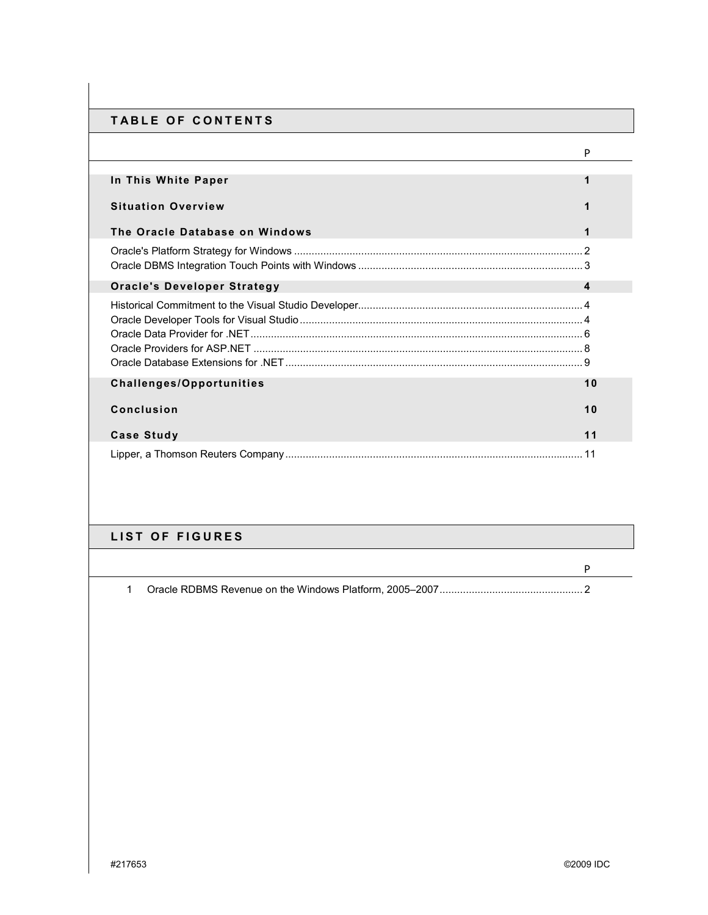### **TABLE OF CONTENTS**

|                                    | P  |
|------------------------------------|----|
| In This White Paper                |    |
| <b>Situation Overview</b>          |    |
| The Oracle Database on Windows     | 1  |
|                                    |    |
| <b>Oracle's Developer Strategy</b> | 4  |
|                                    |    |
|                                    |    |
|                                    |    |
| <b>Challenges/Opportunities</b>    | 10 |
| <b>Conclusion</b>                  | 10 |
| <b>Case Study</b>                  | 11 |
|                                    |    |

## **LIST OF FIGURES**

1 Oracle RDBMS Revenue on the Windows Platform, 2005ñ2007................................................. 2

P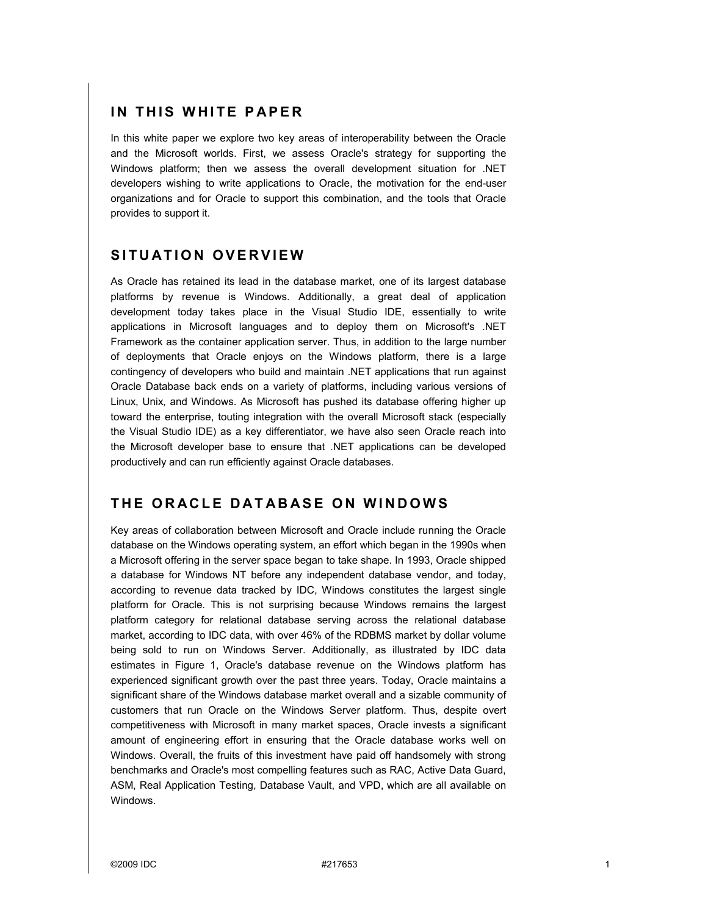### **IN THIS WHITE PAPER**

In this white paper we explore two key areas of interoperability between the Oracle and the Microsoft worlds. First, we assess Oracle's strategy for supporting the Windows platform; then we assess the overall development situation for .NET developers wishing to write applications to Oracle, the motivation for the end-user organizations and for Oracle to support this combination, and the tools that Oracle provides to support it.

## **SITUATION OVERVIEW**

As Oracle has retained its lead in the database market, one of its largest database platforms by revenue is Windows. Additionally, a great deal of application development today takes place in the Visual Studio IDE, essentially to write applications in Microsoft languages and to deploy them on Microsoft's .NET Framework as the container application server. Thus, in addition to the large number of deployments that Oracle enjoys on the Windows platform, there is a large contingency of developers who build and maintain .NET applications that run against Oracle Database back ends on a variety of platforms, including various versions of Linux, Unix, and Windows. As Microsoft has pushed its database offering higher up toward the enterprise, touting integration with the overall Microsoft stack (especially the Visual Studio IDE) as a key differentiator, we have also seen Oracle reach into the Microsoft developer base to ensure that .NET applications can be developed productively and can run efficiently against Oracle databases.

# **THE ORACLE DATABASE ON WINDOWS**

Key areas of collaboration between Microsoft and Oracle include running the Oracle database on the Windows operating system, an effort which began in the 1990s when a Microsoft offering in the server space began to take shape. In 1993, Oracle shipped a database for Windows NT before any independent database vendor, and today, according to revenue data tracked by IDC, Windows constitutes the largest single platform for Oracle. This is not surprising because Windows remains the largest platform category for relational database serving across the relational database market, according to IDC data, with over 46% of the RDBMS market by dollar volume being sold to run on Windows Server. Additionally, as illustrated by IDC data estimates in Figure 1, Oracle's database revenue on the Windows platform has experienced significant growth over the past three years. Today, Oracle maintains a significant share of the Windows database market overall and a sizable community of customers that run Oracle on the Windows Server platform. Thus, despite overt competitiveness with Microsoft in many market spaces, Oracle invests a significant amount of engineering effort in ensuring that the Oracle database works well on Windows. Overall, the fruits of this investment have paid off handsomely with strong benchmarks and Oracle's most compelling features such as RAC, Active Data Guard, ASM, Real Application Testing, Database Vault, and VPD, which are all available on Windows.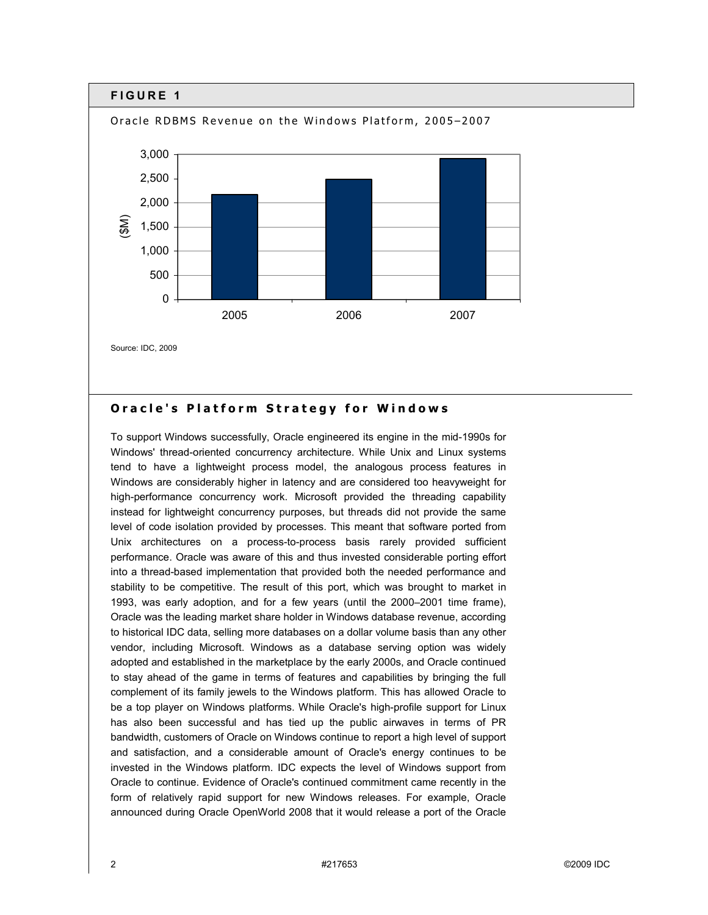

#### **Oracle's Platform Strategy for Windows**

To support Windows successfully, Oracle engineered its engine in the mid-1990s for Windows' thread-oriented concurrency architecture. While Unix and Linux systems tend to have a lightweight process model, the analogous process features in Windows are considerably higher in latency and are considered too heavyweight for high-performance concurrency work. Microsoft provided the threading capability instead for lightweight concurrency purposes, but threads did not provide the same level of code isolation provided by processes. This meant that software ported from Unix architectures on a process-to-process basis rarely provided sufficient performance. Oracle was aware of this and thus invested considerable porting effort into a thread-based implementation that provided both the needed performance and stability to be competitive. The result of this port, which was brought to market in 1993, was early adoption, and for a few years (until the 2000–2001 time frame), Oracle was the leading market share holder in Windows database revenue, according to historical IDC data, selling more databases on a dollar volume basis than any other vendor, including Microsoft. Windows as a database serving option was widely adopted and established in the marketplace by the early 2000s, and Oracle continued to stay ahead of the game in terms of features and capabilities by bringing the full complement of its family jewels to the Windows platform. This has allowed Oracle to be a top player on Windows platforms. While Oracle's high-profile support for Linux has also been successful and has tied up the public airwaves in terms of PR bandwidth, customers of Oracle on Windows continue to report a high level of support and satisfaction, and a considerable amount of Oracle's energy continues to be invested in the Windows platform. IDC expects the level of Windows support from Oracle to continue. Evidence of Oracle's continued commitment came recently in the form of relatively rapid support for new Windows releases. For example, Oracle announced during Oracle OpenWorld 2008 that it would release a port of the Oracle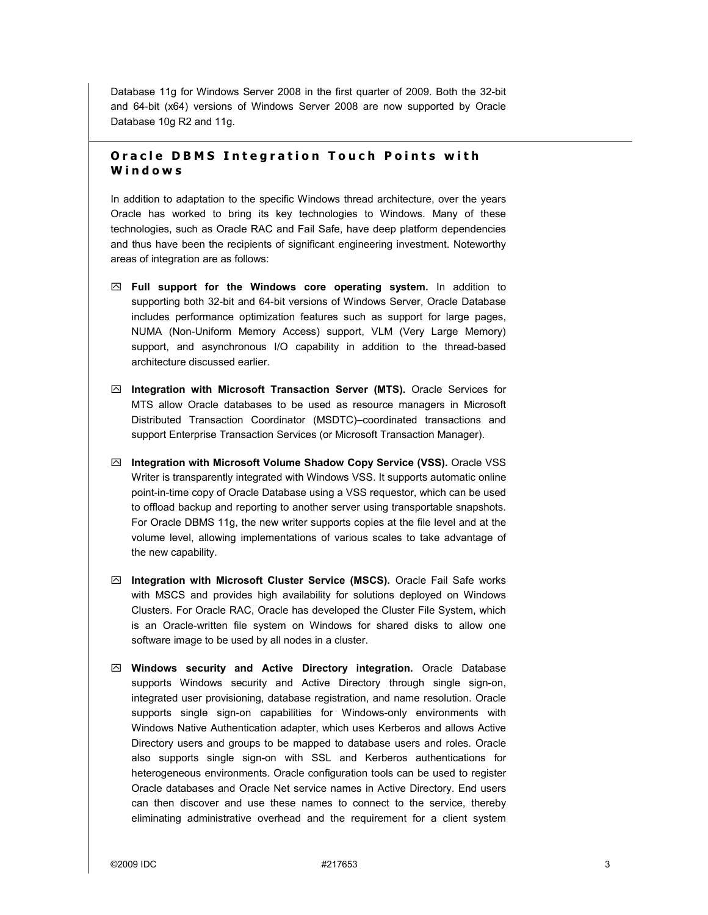Database 11g for Windows Server 2008 in the first quarter of 2009. Both the 32-bit and 64-bit (x64) versions of Windows Server 2008 are now supported by Oracle Database 10g R2 and 11g.

### **Oracle DBMS Integration Touch Points with Windows**

In addition to adaptation to the specific Windows thread architecture, over the years Oracle has worked to bring its key technologies to Windows. Many of these technologies, such as Oracle RAC and Fail Safe, have deep platform dependencies and thus have been the recipients of significant engineering investment. Noteworthy areas of integration are as follows:

- ! **Full support for the Windows core operating system.** In addition to supporting both 32-bit and 64-bit versions of Windows Server, Oracle Database includes performance optimization features such as support for large pages, NUMA (Non-Uniform Memory Access) support, VLM (Very Large Memory) support, and asynchronous I/O capability in addition to the thread-based architecture discussed earlier.
- ! **Integration with Microsoft Transaction Server (MTS).** Oracle Services for MTS allow Oracle databases to be used as resource managers in Microsoft Distributed Transaction Coordinator (MSDTC)-coordinated transactions and support Enterprise Transaction Services (or Microsoft Transaction Manager).
- ! **Integration with Microsoft Volume Shadow Copy Service (VSS).** Oracle VSS Writer is transparently integrated with Windows VSS. It supports automatic online point-in-time copy of Oracle Database using a VSS requestor, which can be used to offload backup and reporting to another server using transportable snapshots. For Oracle DBMS 11g, the new writer supports copies at the file level and at the volume level, allowing implementations of various scales to take advantage of the new capability.
- ! **Integration with Microsoft Cluster Service (MSCS).** Oracle Fail Safe works with MSCS and provides high availability for solutions deployed on Windows Clusters. For Oracle RAC, Oracle has developed the Cluster File System, which is an Oracle-written file system on Windows for shared disks to allow one software image to be used by all nodes in a cluster.
- ! **Windows security and Active Directory integration.** Oracle Database supports Windows security and Active Directory through single sign-on, integrated user provisioning, database registration, and name resolution. Oracle supports single sign-on capabilities for Windows-only environments with Windows Native Authentication adapter, which uses Kerberos and allows Active Directory users and groups to be mapped to database users and roles. Oracle also supports single sign-on with SSL and Kerberos authentications for heterogeneous environments. Oracle configuration tools can be used to register Oracle databases and Oracle Net service names in Active Directory. End users can then discover and use these names to connect to the service, thereby eliminating administrative overhead and the requirement for a client system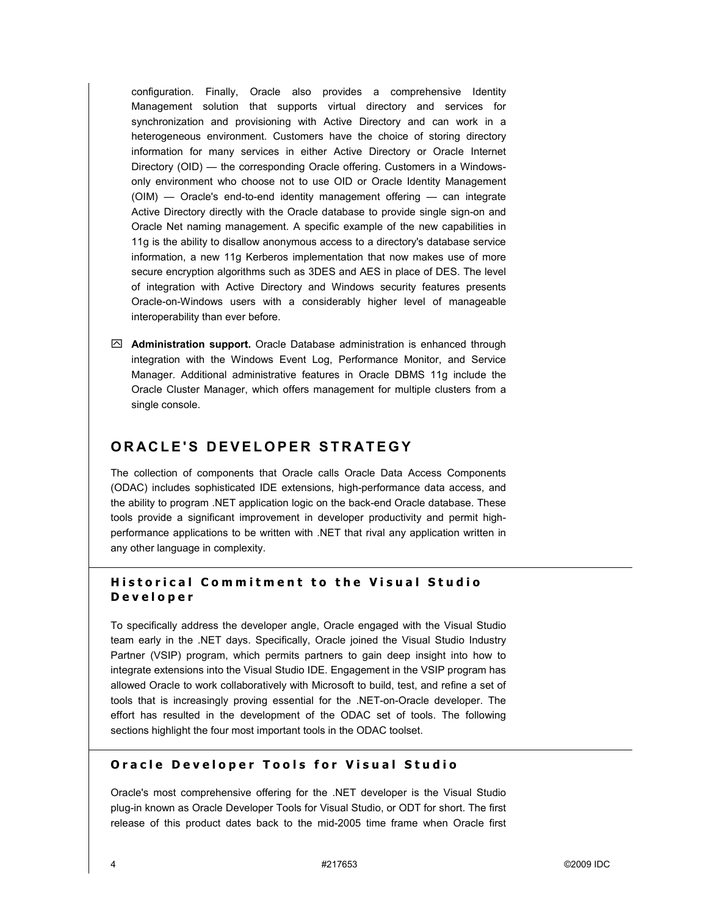configuration. Finally, Oracle also provides a comprehensive Identity Management solution that supports virtual directory and services for synchronization and provisioning with Active Directory and can work in a heterogeneous environment. Customers have the choice of storing directory information for many services in either Active Directory or Oracle Internet Directory (OID) – the corresponding Oracle offering. Customers in a Windowsonly environment who choose not to use OID or Oracle Identity Management  $(OIM)$   $-$  Oracle's end-to-end identity management offering  $-$  can integrate Active Directory directly with the Oracle database to provide single sign-on and Oracle Net naming management. A specific example of the new capabilities in 11g is the ability to disallow anonymous access to a directory's database service information, a new 11g Kerberos implementation that now makes use of more secure encryption algorithms such as 3DES and AES in place of DES. The level of integration with Active Directory and Windows security features presents Oracle-on-Windows users with a considerably higher level of manageable interoperability than ever before.

 $\boxtimes$  **Administration support.** Oracle Database administration is enhanced through integration with the Windows Event Log, Performance Monitor, and Service Manager. Additional administrative features in Oracle DBMS 11g include the Oracle Cluster Manager, which offers management for multiple clusters from a single console.

### **ORACLE'S DEVELOPER STRATEGY**

The collection of components that Oracle calls Oracle Data Access Components (ODAC) includes sophisticated IDE extensions, high-performance data access, and the ability to program .NET application logic on the back-end Oracle database. These tools provide a significant improvement in developer productivity and permit highperformance applications to be written with .NET that rival any application written in any other language in complexity.

### **Historical Commitment to the Visual Studio Developer**

To specifically address the developer angle, Oracle engaged with the Visual Studio team early in the .NET days. Specifically, Oracle joined the Visual Studio Industry Partner (VSIP) program, which permits partners to gain deep insight into how to integrate extensions into the Visual Studio IDE. Engagement in the VSIP program has allowed Oracle to work collaboratively with Microsoft to build, test, and refine a set of tools that is increasingly proving essential for the .NET-on-Oracle developer. The effort has resulted in the development of the ODAC set of tools. The following sections highlight the four most important tools in the ODAC toolset.

#### **Oracle Developer Tools for Visual Studio**

Oracle's most comprehensive offering for the .NET developer is the Visual Studio plug-in known as Oracle Developer Tools for Visual Studio, or ODT for short. The first release of this product dates back to the mid-2005 time frame when Oracle first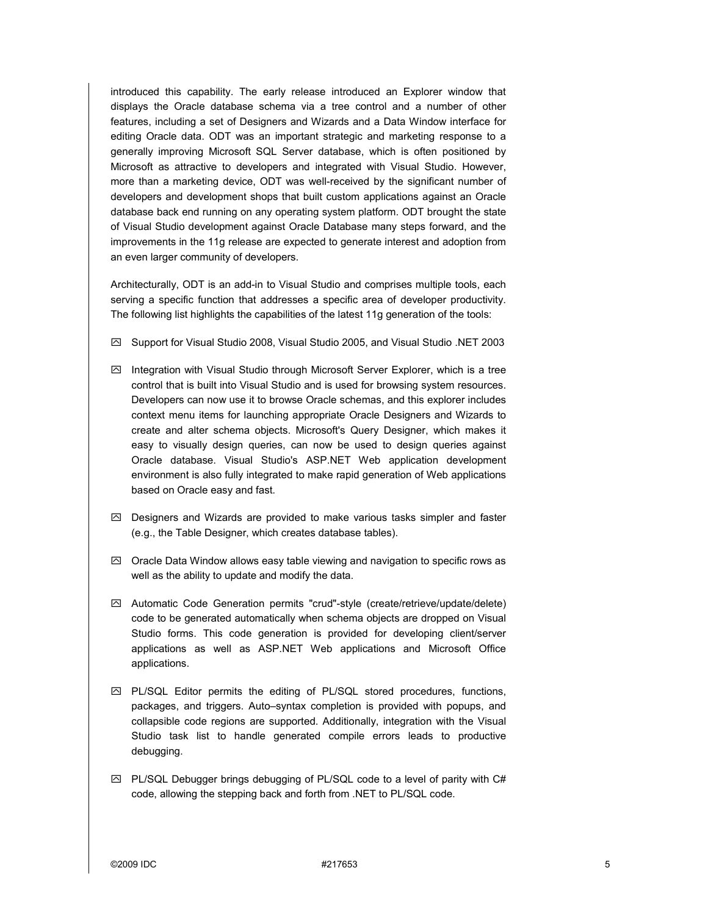introduced this capability. The early release introduced an Explorer window that displays the Oracle database schema via a tree control and a number of other features, including a set of Designers and Wizards and a Data Window interface for editing Oracle data. ODT was an important strategic and marketing response to a generally improving Microsoft SQL Server database, which is often positioned by Microsoft as attractive to developers and integrated with Visual Studio. However, more than a marketing device, ODT was well-received by the significant number of developers and development shops that built custom applications against an Oracle database back end running on any operating system platform. ODT brought the state of Visual Studio development against Oracle Database many steps forward, and the improvements in the 11g release are expected to generate interest and adoption from an even larger community of developers.

Architecturally, ODT is an add-in to Visual Studio and comprises multiple tools, each serving a specific function that addresses a specific area of developer productivity. The following list highlights the capabilities of the latest 11g generation of the tools:

- ! Support for Visual Studio 2008, Visual Studio 2005, and Visual Studio .NET 2003
- $\boxtimes$  Integration with Visual Studio through Microsoft Server Explorer, which is a tree control that is built into Visual Studio and is used for browsing system resources. Developers can now use it to browse Oracle schemas, and this explorer includes context menu items for launching appropriate Oracle Designers and Wizards to create and alter schema objects. Microsoft's Query Designer, which makes it easy to visually design queries, can now be used to design queries against Oracle database. Visual Studio's ASP.NET Web application development environment is also fully integrated to make rapid generation of Web applications based on Oracle easy and fast.
- $\boxtimes$  Designers and Wizards are provided to make various tasks simpler and faster (e.g., the Table Designer, which creates database tables).
- $\boxtimes$  Oracle Data Window allows easy table viewing and navigation to specific rows as well as the ability to update and modify the data.
- $\boxtimes$  Automatic Code Generation permits "crud"-style (create/retrieve/update/delete) code to be generated automatically when schema objects are dropped on Visual Studio forms. This code generation is provided for developing client/server applications as well as ASP.NET Web applications and Microsoft Office applications.
- $\boxtimes$  PL/SQL Editor permits the editing of PL/SQL stored procedures, functions, packages, and triggers. Auto-syntax completion is provided with popups, and collapsible code regions are supported. Additionally, integration with the Visual Studio task list to handle generated compile errors leads to productive debugging.
- $\boxtimes$  PL/SQL Debugger brings debugging of PL/SQL code to a level of parity with C# code, allowing the stepping back and forth from .NET to PL/SQL code.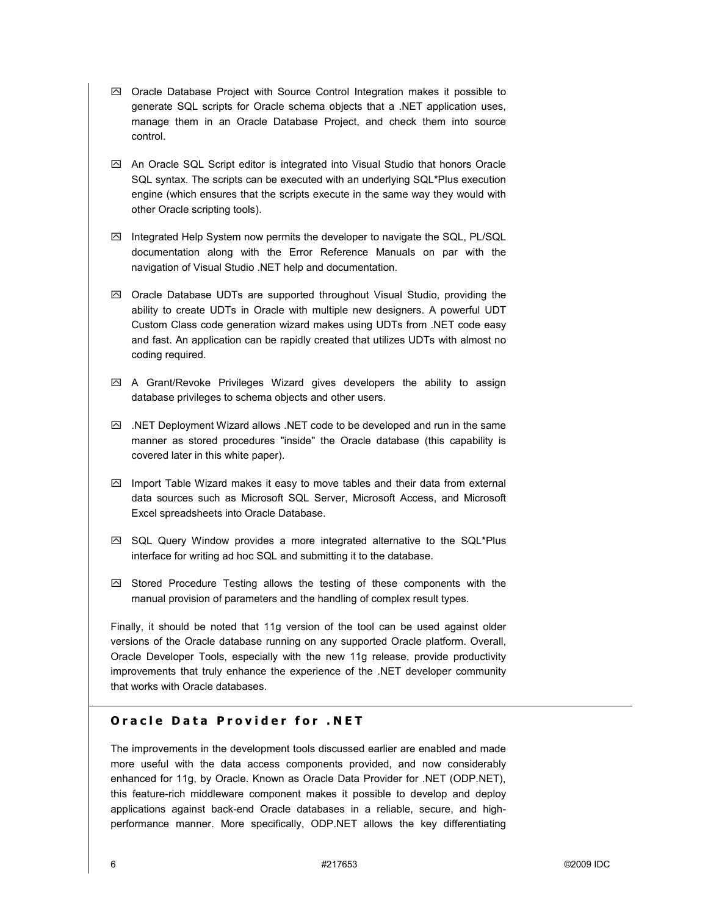- $\boxtimes$  Oracle Database Project with Source Control Integration makes it possible to generate SQL scripts for Oracle schema objects that a .NET application uses, manage them in an Oracle Database Project, and check them into source control.
- $\boxtimes$  An Oracle SQL Script editor is integrated into Visual Studio that honors Oracle SQL syntax. The scripts can be executed with an underlying SQL\*Plus execution engine (which ensures that the scripts execute in the same way they would with other Oracle scripting tools).
- $\boxtimes$  Integrated Help System now permits the developer to navigate the SQL, PL/SQL documentation along with the Error Reference Manuals on par with the navigation of Visual Studio .NET help and documentation.
- $\boxtimes$  Oracle Database UDTs are supported throughout Visual Studio, providing the ability to create UDTs in Oracle with multiple new designers. A powerful UDT Custom Class code generation wizard makes using UDTs from .NET code easy and fast. An application can be rapidly created that utilizes UDTs with almost no coding required.
- $\boxtimes$  A Grant/Revoke Privileges Wizard gives developers the ability to assign database privileges to schema objects and other users.
- $\boxtimes$  .NET Deployment Wizard allows .NET code to be developed and run in the same manner as stored procedures "inside" the Oracle database (this capability is covered later in this white paper).
- $\boxtimes$  Import Table Wizard makes it easy to move tables and their data from external data sources such as Microsoft SQL Server, Microsoft Access, and Microsoft Excel spreadsheets into Oracle Database.
- $\boxtimes$  SQL Query Window provides a more integrated alternative to the SQL\*Plus interface for writing ad hoc SQL and submitting it to the database.
- $\boxdot$  Stored Procedure Testing allows the testing of these components with the manual provision of parameters and the handling of complex result types.

Finally, it should be noted that 11g version of the tool can be used against older versions of the Oracle database running on any supported Oracle platform. Overall, Oracle Developer Tools, especially with the new 11g release, provide productivity improvements that truly enhance the experience of the .NET developer community that works with Oracle databases.

### **Oracle Data Provider for .NET**

The improvements in the development tools discussed earlier are enabled and made more useful with the data access components provided, and now considerably enhanced for 11g, by Oracle. Known as Oracle Data Provider for .NET (ODP.NET), this feature-rich middleware component makes it possible to develop and deploy applications against back-end Oracle databases in a reliable, secure, and highperformance manner. More specifically, ODP.NET allows the key differentiating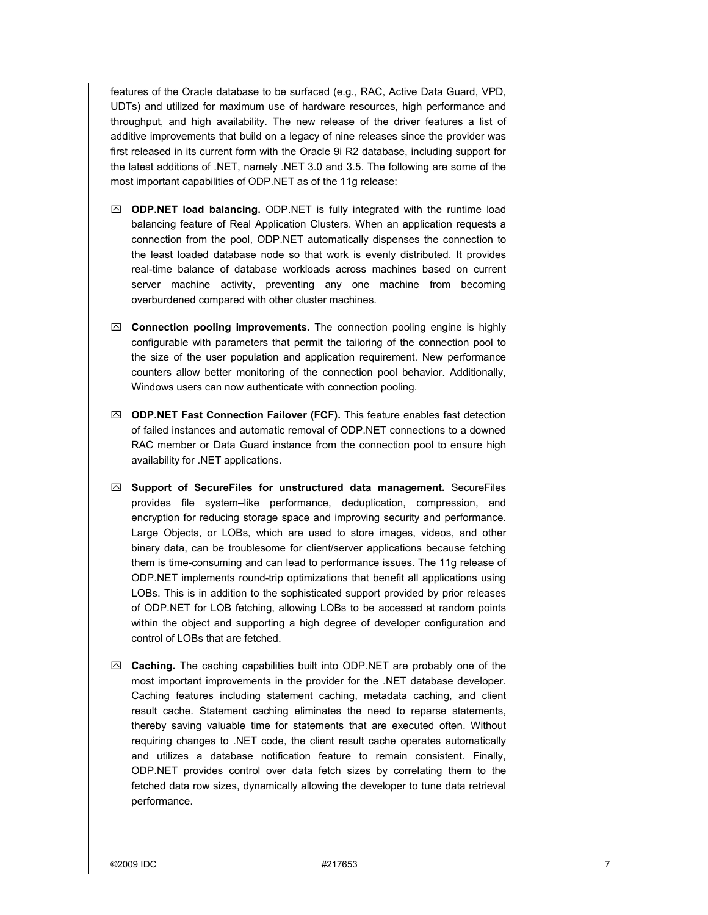features of the Oracle database to be surfaced (e.g., RAC, Active Data Guard, VPD, UDTs) and utilized for maximum use of hardware resources, high performance and throughput, and high availability. The new release of the driver features a list of additive improvements that build on a legacy of nine releases since the provider was first released in its current form with the Oracle 9i R2 database, including support for the latest additions of .NET, namely .NET 3.0 and 3.5. The following are some of the most important capabilities of ODP.NET as of the 11g release:

- ! **ODP.NET load balancing.** ODP.NET is fully integrated with the runtime load balancing feature of Real Application Clusters. When an application requests a connection from the pool, ODP.NET automatically dispenses the connection to the least loaded database node so that work is evenly distributed. It provides real-time balance of database workloads across machines based on current server machine activity, preventing any one machine from becoming overburdened compared with other cluster machines.
- ! **Connection pooling improvements.** The connection pooling engine is highly configurable with parameters that permit the tailoring of the connection pool to the size of the user population and application requirement. New performance counters allow better monitoring of the connection pool behavior. Additionally, Windows users can now authenticate with connection pooling.
- ! **ODP.NET Fast Connection Failover (FCF).** This feature enables fast detection of failed instances and automatic removal of ODP.NET connections to a downed RAC member or Data Guard instance from the connection pool to ensure high availability for .NET applications.
- ! **Support of SecureFiles for unstructured data management.** SecureFiles provides file system-like performance, deduplication, compression, and encryption for reducing storage space and improving security and performance. Large Objects, or LOBs, which are used to store images, videos, and other binary data, can be troublesome for client/server applications because fetching them is time-consuming and can lead to performance issues. The 11g release of ODP.NET implements round-trip optimizations that benefit all applications using LOBs. This is in addition to the sophisticated support provided by prior releases of ODP.NET for LOB fetching, allowing LOBs to be accessed at random points within the object and supporting a high degree of developer configuration and control of LOBs that are fetched.
- ! **Caching.** The caching capabilities built into ODP.NET are probably one of the most important improvements in the provider for the .NET database developer. Caching features including statement caching, metadata caching, and client result cache. Statement caching eliminates the need to reparse statements, thereby saving valuable time for statements that are executed often. Without requiring changes to .NET code, the client result cache operates automatically and utilizes a database notification feature to remain consistent. Finally, ODP.NET provides control over data fetch sizes by correlating them to the fetched data row sizes, dynamically allowing the developer to tune data retrieval performance.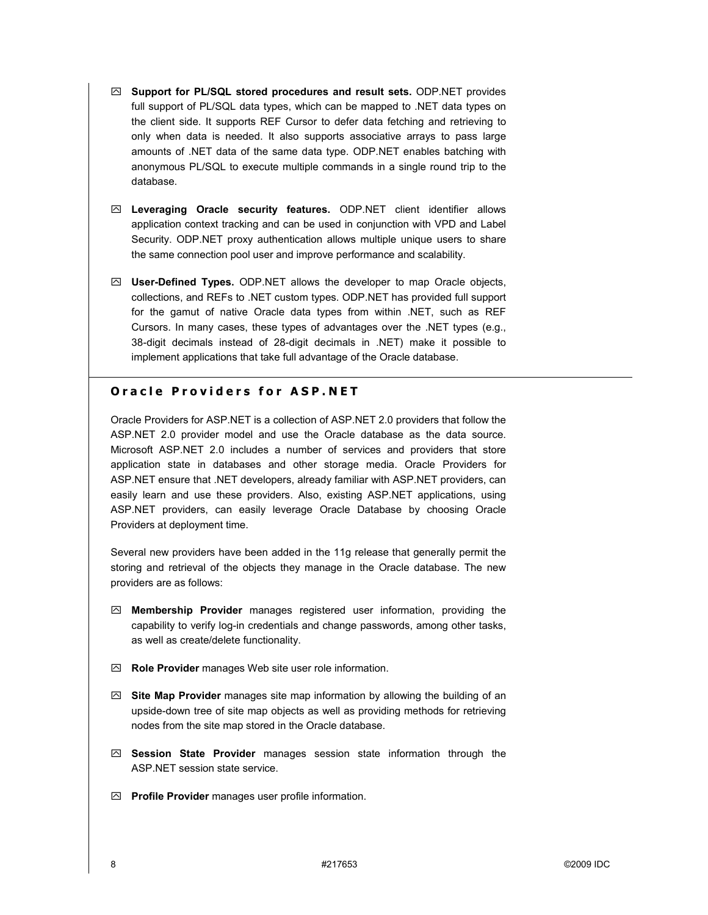- ! **Support for PL/SQL stored procedures and result sets.** ODP.NET provides full support of PL/SQL data types, which can be mapped to .NET data types on the client side. It supports REF Cursor to defer data fetching and retrieving to only when data is needed. It also supports associative arrays to pass large amounts of .NET data of the same data type. ODP.NET enables batching with anonymous PL/SQL to execute multiple commands in a single round trip to the database.
- ! **Leveraging Oracle security features.** ODP.NET client identifier allows application context tracking and can be used in conjunction with VPD and Label Security. ODP.NET proxy authentication allows multiple unique users to share the same connection pool user and improve performance and scalability.
- ! **User-Defined Types.** ODP.NET allows the developer to map Oracle objects, collections, and REFs to .NET custom types. ODP.NET has provided full support for the gamut of native Oracle data types from within .NET, such as REF Cursors. In many cases, these types of advantages over the .NET types (e.g., 38-digit decimals instead of 28-digit decimals in .NET) make it possible to implement applications that take full advantage of the Oracle database.

### **Oracle Providers for ASP.NET**

Oracle Providers for ASP.NET is a collection of ASP.NET 2.0 providers that follow the ASP.NET 2.0 provider model and use the Oracle database as the data source. Microsoft ASP.NET 2.0 includes a number of services and providers that store application state in databases and other storage media. Oracle Providers for ASP.NET ensure that .NET developers, already familiar with ASP.NET providers, can easily learn and use these providers. Also, existing ASP.NET applications, using ASP.NET providers, can easily leverage Oracle Database by choosing Oracle Providers at deployment time.

Several new providers have been added in the 11g release that generally permit the storing and retrieval of the objects they manage in the Oracle database. The new providers are as follows:

- ! **Membership Provider** manages registered user information, providing the capability to verify log-in credentials and change passwords, among other tasks, as well as create/delete functionality.
- ! **Role Provider** manages Web site user role information.
- ! **Site Map Provider** manages site map information by allowing the building of an upside-down tree of site map objects as well as providing methods for retrieving nodes from the site map stored in the Oracle database.
- ! **Session State Provider** manages session state information through the ASP.NET session state service.
- ! **Profile Provider** manages user profile information.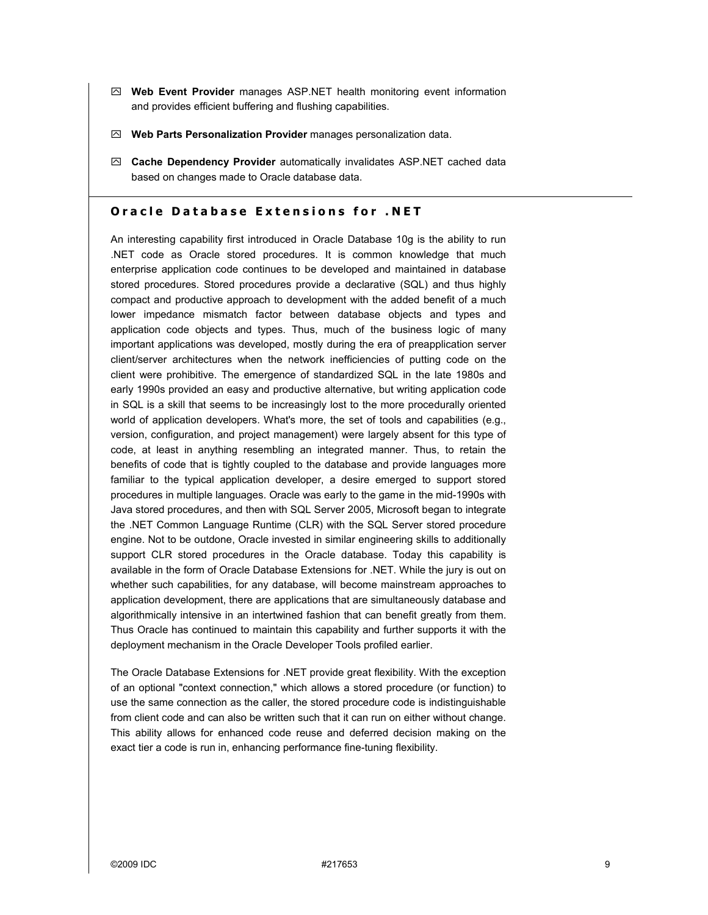- ! **Web Event Provider** manages ASP.NET health monitoring event information and provides efficient buffering and flushing capabilities.
- ! **Web Parts Personalization Provider** manages personalization data.
- ! **Cache Dependency Provider** automatically invalidates ASP.NET cached data based on changes made to Oracle database data.

#### **Oracle Database Extensions for .NET**

An interesting capability first introduced in Oracle Database 10g is the ability to run .NET code as Oracle stored procedures. It is common knowledge that much enterprise application code continues to be developed and maintained in database stored procedures. Stored procedures provide a declarative (SQL) and thus highly compact and productive approach to development with the added benefit of a much lower impedance mismatch factor between database objects and types and application code objects and types. Thus, much of the business logic of many important applications was developed, mostly during the era of preapplication server client/server architectures when the network inefficiencies of putting code on the client were prohibitive. The emergence of standardized SQL in the late 1980s and early 1990s provided an easy and productive alternative, but writing application code in SQL is a skill that seems to be increasingly lost to the more procedurally oriented world of application developers. What's more, the set of tools and capabilities (e.g., version, configuration, and project management) were largely absent for this type of code, at least in anything resembling an integrated manner. Thus, to retain the benefits of code that is tightly coupled to the database and provide languages more familiar to the typical application developer, a desire emerged to support stored procedures in multiple languages. Oracle was early to the game in the mid-1990s with Java stored procedures, and then with SQL Server 2005, Microsoft began to integrate the .NET Common Language Runtime (CLR) with the SQL Server stored procedure engine. Not to be outdone, Oracle invested in similar engineering skills to additionally support CLR stored procedures in the Oracle database. Today this capability is available in the form of Oracle Database Extensions for .NET. While the jury is out on whether such capabilities, for any database, will become mainstream approaches to application development, there are applications that are simultaneously database and algorithmically intensive in an intertwined fashion that can benefit greatly from them. Thus Oracle has continued to maintain this capability and further supports it with the deployment mechanism in the Oracle Developer Tools profiled earlier.

The Oracle Database Extensions for .NET provide great flexibility. With the exception of an optional "context connection," which allows a stored procedure (or function) to use the same connection as the caller, the stored procedure code is indistinguishable from client code and can also be written such that it can run on either without change. This ability allows for enhanced code reuse and deferred decision making on the exact tier a code is run in, enhancing performance fine-tuning flexibility.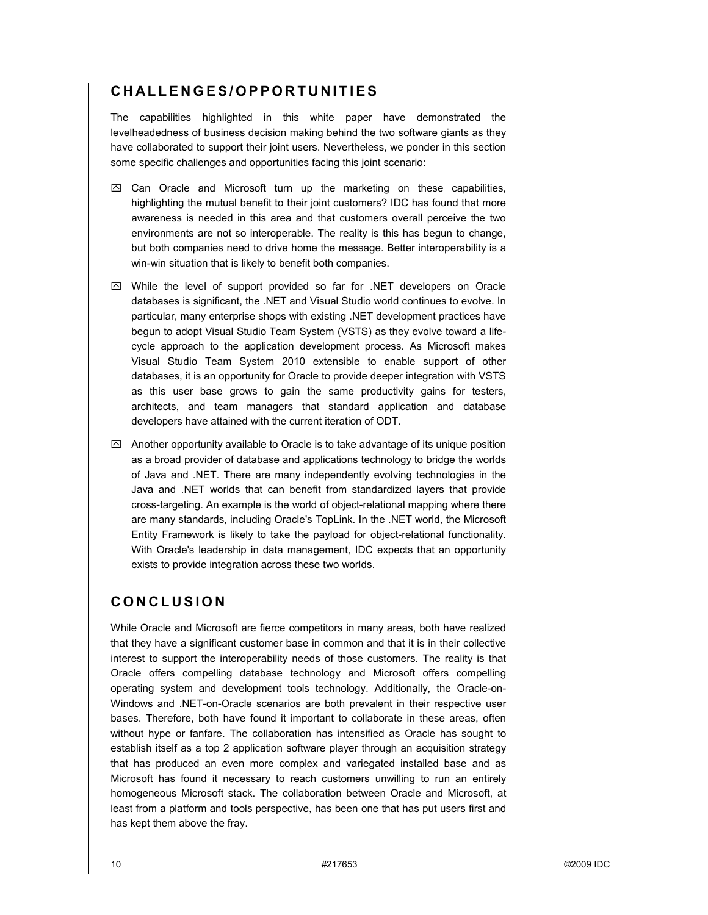# **CHALLENGES/OPPORTUNITIES**

The capabilities highlighted in this white paper have demonstrated the levelheadedness of business decision making behind the two software giants as they have collaborated to support their joint users. Nevertheless, we ponder in this section some specific challenges and opportunities facing this joint scenario:

- $\boxtimes$  Can Oracle and Microsoft turn up the marketing on these capabilities, highlighting the mutual benefit to their joint customers? IDC has found that more awareness is needed in this area and that customers overall perceive the two environments are not so interoperable. The reality is this has begun to change, but both companies need to drive home the message. Better interoperability is a win-win situation that is likely to benefit both companies.
- $\boxtimes$  While the level of support provided so far for .NET developers on Oracle databases is significant, the .NET and Visual Studio world continues to evolve. In particular, many enterprise shops with existing .NET development practices have begun to adopt Visual Studio Team System (VSTS) as they evolve toward a lifecycle approach to the application development process. As Microsoft makes Visual Studio Team System 2010 extensible to enable support of other databases, it is an opportunity for Oracle to provide deeper integration with VSTS as this user base grows to gain the same productivity gains for testers, architects, and team managers that standard application and database developers have attained with the current iteration of ODT.
- $\boxtimes$  Another opportunity available to Oracle is to take advantage of its unique position as a broad provider of database and applications technology to bridge the worlds of Java and .NET. There are many independently evolving technologies in the Java and .NET worlds that can benefit from standardized layers that provide cross-targeting. An example is the world of object-relational mapping where there are many standards, including Oracle's TopLink. In the .NET world, the Microsoft Entity Framework is likely to take the payload for object-relational functionality. With Oracle's leadership in data management, IDC expects that an opportunity exists to provide integration across these two worlds.

# **CONCLUSION**

While Oracle and Microsoft are fierce competitors in many areas, both have realized that they have a significant customer base in common and that it is in their collective interest to support the interoperability needs of those customers. The reality is that Oracle offers compelling database technology and Microsoft offers compelling operating system and development tools technology. Additionally, the Oracle-on-Windows and .NET-on-Oracle scenarios are both prevalent in their respective user bases. Therefore, both have found it important to collaborate in these areas, often without hype or fanfare. The collaboration has intensified as Oracle has sought to establish itself as a top 2 application software player through an acquisition strategy that has produced an even more complex and variegated installed base and as Microsoft has found it necessary to reach customers unwilling to run an entirely homogeneous Microsoft stack. The collaboration between Oracle and Microsoft, at least from a platform and tools perspective, has been one that has put users first and has kept them above the fray.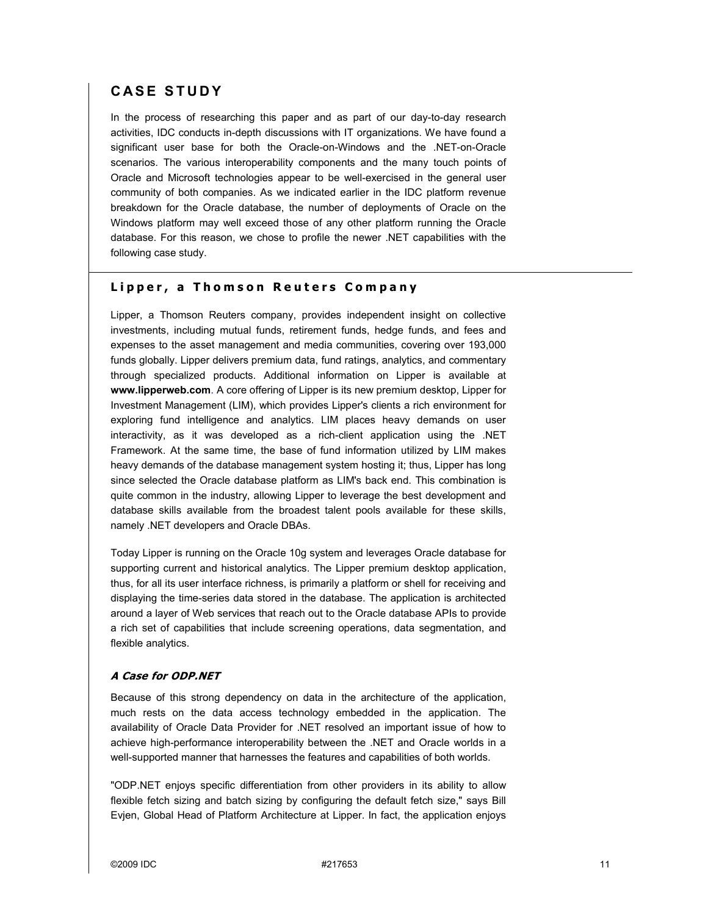# **CASE STUDY**

In the process of researching this paper and as part of our day-to-day research activities, IDC conducts in-depth discussions with IT organizations. We have found a significant user base for both the Oracle-on-Windows and the .NET-on-Oracle scenarios. The various interoperability components and the many touch points of Oracle and Microsoft technologies appear to be well-exercised in the general user community of both companies. As we indicated earlier in the IDC platform revenue breakdown for the Oracle database, the number of deployments of Oracle on the Windows platform may well exceed those of any other platform running the Oracle database. For this reason, we chose to profile the newer .NET capabilities with the following case study.

#### **Lipper, a Thomson Reuters Company**

Lipper, a Thomson Reuters company, provides independent insight on collective investments, including mutual funds, retirement funds, hedge funds, and fees and expenses to the asset management and media communities, covering over 193,000 funds globally. Lipper delivers premium data, fund ratings, analytics, and commentary through specialized products. Additional information on Lipper is available at **www.lipperweb.com**. A core offering of Lipper is its new premium desktop, Lipper for Investment Management (LIM), which provides Lipper's clients a rich environment for exploring fund intelligence and analytics. LIM places heavy demands on user interactivity, as it was developed as a rich-client application using the .NET Framework. At the same time, the base of fund information utilized by LIM makes heavy demands of the database management system hosting it; thus, Lipper has long since selected the Oracle database platform as LIM's back end. This combination is quite common in the industry, allowing Lipper to leverage the best development and database skills available from the broadest talent pools available for these skills, namely .NET developers and Oracle DBAs.

Today Lipper is running on the Oracle 10g system and leverages Oracle database for supporting current and historical analytics. The Lipper premium desktop application, thus, for all its user interface richness, is primarily a platform or shell for receiving and displaying the time-series data stored in the database. The application is architected around a layer of Web services that reach out to the Oracle database APIs to provide a rich set of capabilities that include screening operations, data segmentation, and flexible analytics.

#### **A Case for ODP.NET**

Because of this strong dependency on data in the architecture of the application, much rests on the data access technology embedded in the application. The availability of Oracle Data Provider for .NET resolved an important issue of how to achieve high-performance interoperability between the .NET and Oracle worlds in a well-supported manner that harnesses the features and capabilities of both worlds.

"ODP.NET enjoys specific differentiation from other providers in its ability to allow flexible fetch sizing and batch sizing by configuring the default fetch size," says Bill Evjen, Global Head of Platform Architecture at Lipper. In fact, the application enjoys